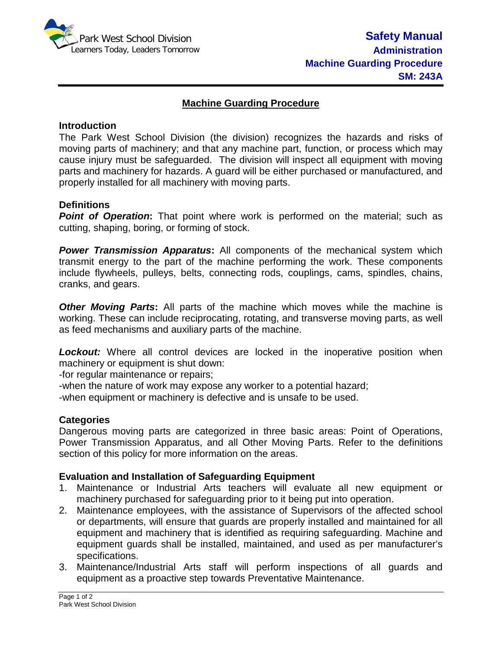

# **Machine Guarding Procedure**

### **Introduction**

The Park West School Division (the division) recognizes the hazards and risks of moving parts of machinery; and that any machine part, function, or process which may cause injury must be safeguarded. The division will inspect all equipment with moving parts and machinery for hazards. A guard will be either purchased or manufactured, and properly installed for all machinery with moving parts.

### **Definitions**

**Point of Operation:** That point where work is performed on the material; such as cutting, shaping, boring, or forming of stock.

*Power Transmission Apparatus***:** All components of the mechanical system which transmit energy to the part of the machine performing the work. These components include flywheels, pulleys, belts, connecting rods, couplings, cams, spindles, chains, cranks, and gears.

**Other Moving Parts:** All parts of the machine which moves while the machine is working. These can include reciprocating, rotating, and transverse moving parts, as well as feed mechanisms and auxiliary parts of the machine.

**Lockout:** Where all control devices are locked in the inoperative position when machinery or equipment is shut down:

-for regular maintenance or repairs;

-when the nature of work may expose any worker to a potential hazard;

-when equipment or machinery is defective and is unsafe to be used.

#### **Categories**

Dangerous moving parts are categorized in three basic areas: Point of Operations, Power Transmission Apparatus, and all Other Moving Parts. Refer to the definitions section of this policy for more information on the areas.

# **Evaluation and Installation of Safeguarding Equipment**

- 1. Maintenance or Industrial Arts teachers will evaluate all new equipment or machinery purchased for safeguarding prior to it being put into operation.
- 2. Maintenance employees, with the assistance of Supervisors of the affected school or departments, will ensure that guards are properly installed and maintained for all equipment and machinery that is identified as requiring safeguarding. Machine and equipment guards shall be installed, maintained, and used as per manufacturer's specifications.
- 3. Maintenance/Industrial Arts staff will perform inspections of all guards and equipment as a proactive step towards Preventative Maintenance.